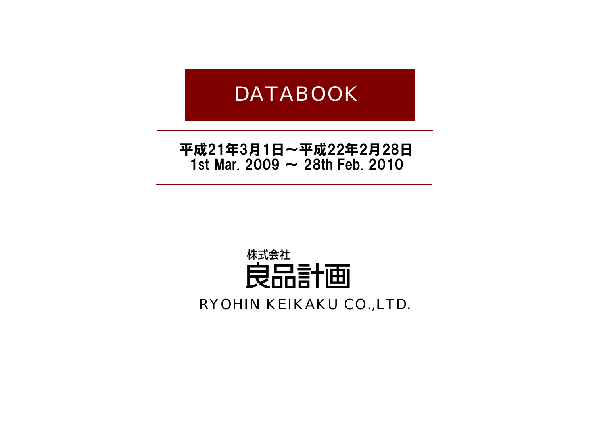# DATABOOK

# 平成21年3月1日~平成22年2月28日 1st Mar. 2009  $\sim$  28th Feb. 2010

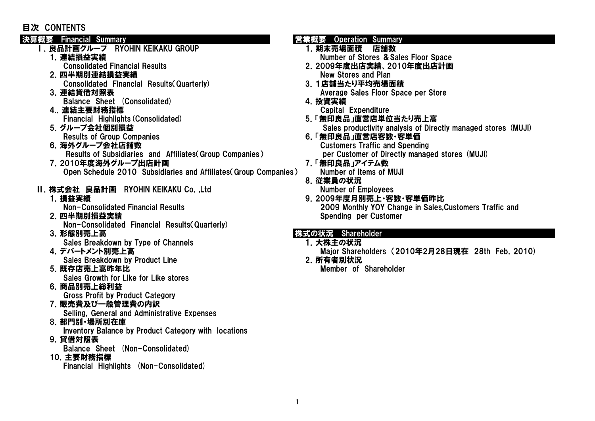#### 目次 CONTENTS

- Ⅰ.良品計画グループ RYOHIN KEIKAKU GROUP 1.期末売場面積 店舗数
	-
	- 2.四半期別連結損益実績 New Stores and Plan
		-
	-
	- Balance Sheet (Consolidated) 2. 2012 12:30 12:41 12 2012 12:42 12:52 12:52 12:52 12:52 12:52 12:52 12:52 12:52 4..連結主要財務指標 Capital Expenditure

- 
- 6.海外グループ会社店舗数 Customers Traffic and Spending Results of Subsidiaries and Affiliates Group Companies) per Customer of Directly managed stores (MUJI)
- 7.2010年度海外グループ出店計画 7.「無印良品」アイテム数 Open Schedule 2010 Subsidiaries and Affiliates(Group Companies) Number of Items of MUJI

#### Ⅱ.株式会社 良品計画 RYOHIN KEIKAKU Co.,Ltd Number of Employees

- 2. 四半期別損益実績 Spending per Customer Non-Consolidated Financial Results(Quarterly)
- 

Sales Breakdown by Type of Channels 2. インストリック 1. 大株主の状況

- Sales Breakdown by Product Line 2.所有者別状況
- 5.既存店売上高昨年比 Member of Shareholder Sales Growth for Like for Like stores
- 6.商品別売上総利益

Gross Profit by Product Category

7.販売費及び一般管理費の内訳

Selling, General and Administrative Expenses

- 8.部門別・場所別在庫
	- Inventory Balance by Product Category with locations
- 9.貸借対照表

Balance Sheet (Non-Consolidated)

10.主要財務指標

Financial Highlights (Non-Consolidated)

#### 決算概要 Financial Summary Website Theorem is the Summary 営業概要 Operation Summary

- 1.連結損益実績 Number of Stores &Sales Floor Space
	- Consolidated Financial Results 2.2009年度出店実績、2010年度出店計画
- Consolidated Financial Results(Quarterly) 3.1店舗当たり平均売場面積 3. 連結貸借対照表 インタン The State of Average Sales Floor Space per Store
	- -
- Financial Highlights(Consolidated) 5.「無印良品」直営店単位当たり売上高 5.グループ会社個別損益 Sales productivity analysis of Directly managed stores (MUJI)
	- Results of Group Companies extending the state of the Second Second Companies and Second Second Second Second S
		-
		- 8.従業員の状況

1. 損益実績 しんしん しんしん しんしん しんしん しんしん しんしん しんしん タ 2009年度月別売上・客数・客単価昨比 Non-Consolidated Financial Results 2009 Monthly YOY Change in Sales,Customers Traffic and

#### 3. 形態別売上高 インファイン インタイム おおとこ おおとこ おおとこ おおとこ 株式の状況 Shareholder

- 
- 4. デパートメント別売上高 Major Shareholders (2010年2月28日現在 28th Feb. 2010)
	-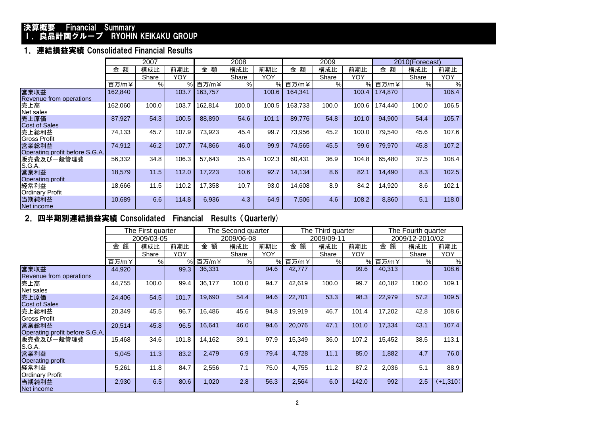#### 決算概要 Financial Summary I. 良品計画グループ RYOHIN KEIKAKU GROUP

#### 1.連結損益実績 Consolidated Financial Results

|                                         | 2007    |       |       |         | 2008  |       |         | 2009  |       | 2010(Forecast) |       |            |
|-----------------------------------------|---------|-------|-------|---------|-------|-------|---------|-------|-------|----------------|-------|------------|
|                                         | 額<br>金  | 構成比   | 前期比   | 額<br>金  | 構成比   | 前期比   | 金<br>額  | 構成比   | 前期比   | 金<br>額         | 構成比   | 前期比        |
|                                         |         | Share | YOY   |         | Share | YOY   |         | Share | YOY   |                | Share | <b>YOY</b> |
|                                         | 百万/m¥   | %     | $\%$  | 百万/m¥   | %     | $\%$  | 百万/m¥   | %     | %     | 百万/m¥          | %     | %          |
| 営業収益<br>Revenue from operations         | 162,840 |       | 103.7 | 163,757 |       | 100.6 | 164,341 |       | 100.4 | 174,870        |       | 106.4      |
| 売上高<br>Net sales                        | 162,060 | 100.0 | 103.7 | 162,814 | 100.0 | 100.5 | 163,733 | 100.0 | 100.6 | 174,440        | 100.0 | 106.5      |
| 売上原価<br><b>Cost of Sales</b>            | 87,927  | 54.3  | 100.5 | 88,890  | 54.6  | 101.1 | 89,776  | 54.8  | 101.0 | 94,900         | 54.4  | 105.7      |
| 売上総利益<br>Gross Profit                   | 74,133  | 45.7  | 107.9 | 73,923  | 45.4  | 99.7  | 73,956  | 45.2  | 100.0 | 79,540         | 45.6  | 107.6      |
| 営業総利益<br>Operating profit before S.G.A. | 74,912  | 46.2  | 107.7 | 74.866  | 46.0  | 99.9  | 74,565  | 45.5  | 99.6  | 79,970         | 45.8  | 107.2      |
| 販売費及び一般管理費<br>S.G.A.                    | 56,332  | 34.8  | 106.3 | 57.643  | 35.4  | 102.3 | 60,431  | 36.9  | 104.8 | 65.480         | 37.5  | 108.4      |
| 営業利益<br><b>Operating profit</b>         | 18,579  | 11.5  | 112.0 | 17,223  | 10.6  | 92.7  | 14,134  | 8.6   | 82.1  | 14,490         | 8.3   | 102.5      |
| 経常利益<br><b>Ordinary Profit</b>          | 18,666  | 11.5  | 110.2 | 17,358  | 10.7  | 93.0  | 14,608  | 8.9   | 84.2  | 14,920         | 8.6   | 102.1      |
| 当期純利益<br>Net income                     | 10,689  | 6.6   | 114.8 | 6,936   | 4.3   | 64.9  | 7,506   | 4.6   | 108.2 | 8,860          | 5.1   | 118.0      |

#### 2.四半期別連結損益実績 Consolidated Financial Results(Quarterly)

|                                         |        | The First quarter |       |        | The Second quarter |            |        | The Third quarter |            |        | The Fourth quarter |            |
|-----------------------------------------|--------|-------------------|-------|--------|--------------------|------------|--------|-------------------|------------|--------|--------------------|------------|
|                                         |        | 2009/03-05        |       |        | 2009/06-08         |            |        | 2009/09-11        |            |        | 2009/12-2010/02    |            |
|                                         | 額<br>金 | 構成比               | 前期比   | 金額     | 構成比                | 前期比        | 額<br>金 | 構成比               | 前期比        | 額<br>金 | 構成比                | 前期比        |
|                                         |        | Share             | YOY   |        | Share              | <b>YOY</b> |        | Share             | <b>YOY</b> |        | Share              | <b>YOY</b> |
|                                         | 百万/m¥  | %                 | %     | 百万/m¥  | %                  | %          | 百万/m¥  | %                 | %          | 百万/m¥  | %                  | %          |
| 営業収益<br>Revenue from operations         | 44,920 |                   | 99.3  | 36,331 |                    | 94.6       | 42,777 |                   | 99.6       | 40,313 |                    | 108.6      |
| 売上高<br>Net sales                        | 44,755 | 100.0             | 99.4  | 36,177 | 100.0              | 94.7       | 42,619 | 100.0             | 99.7       | 40,182 | 100.0              | 109.1      |
| 売上原価<br>Cost of Sales                   | 24,406 | 54.5              | 101.7 | 19,690 | 54.4               | 94.6       | 22,701 | 53.3              | 98.3       | 22,979 | 57.2               | 109.5      |
| 売上総利益<br>Gross Profit                   | 20,349 | 45.5              | 96.7  | 16,486 | 45.6               | 94.8       | 19,919 | 46.7              | 101.4      | 17,202 | 42.8               | 108.6      |
| 営業総利益<br>Operating profit before S.G.A. | 20,514 | 45.8              | 96.5  | 16,641 | 46.0               | 94.6       | 20,076 | 47.1              | 101.0      | 17,334 | 43.1               | 107.4      |
| 販売費及び一般管理費<br>S.G.A.                    | 15,468 | 34.6              | 101.8 | 14,162 | 39.1               | 97.9       | 15,349 | 36.0              | 107.2      | 15,452 | 38.5               | 113.1      |
| 営業利益<br>Operating profit                | 5,045  | 11.3              | 83.2  | 2,479  | 6.9                | 79.4       | 4,728  | 11.1              | 85.0       | 1,882  | 4.7                | 76.0       |
| 経常利益<br>Ordinary Profit                 | 5,261  | 11.8              | 84.7  | 2,556  | 7.1                | 75.0       | 4,755  | 11.2              | 87.2       | 2,036  | 5.1                | 88.9       |
| 当期純利益<br>Net income                     | 2,930  | 6.5               | 80.6  | 1,020  | 2.8                | 56.3       | 2,564  | 6.0               | 142.0      | 992    | 2.5                | $(+1,310)$ |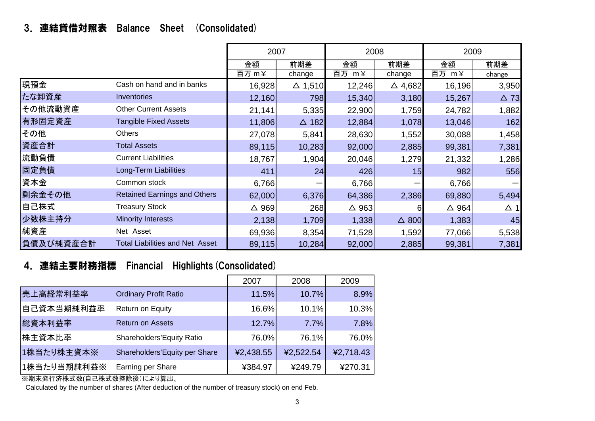### 3.連結貸借対照表 Balance Sheet (Consolidated)

|           |                                        | 2007            |                   | 2008            |                   | 2009            |             |
|-----------|----------------------------------------|-----------------|-------------------|-----------------|-------------------|-----------------|-------------|
|           |                                        | 金額              | 前期差               | 金額              | 前期差               | 金額              | 前期差         |
|           |                                        | 百万 m¥           | change            | 百万 m¥           | change            | 百万 m¥           | change      |
| 現預金       | Cash on hand and in banks              | 16,928          | $\triangle$ 1,510 | 12,246          | $\triangle$ 4,682 | 16,196          | 3,950       |
| たな卸資産     | Inventories                            | 12,160          | 798               | 15,340          | 3,180             | 15,267          | $\Delta$ 73 |
| その他流動資産   | <b>Other Current Assets</b>            | 21,141          | 5,335             | 22,900          | 1,759             | 24,782          | 1,882       |
| 有形固定資産    | <b>Tangible Fixed Assets</b>           | 11,806          | $\Delta$ 182      | 12,884          | 1,078             | 13,046          | 162         |
| その他       | <b>Others</b>                          | 27,078          | 5,841             | 28,630          | 1,552             | 30,088          | 1,458       |
| 資産合計      | <b>Total Assets</b>                    | 89,115          | 10,283            | 92,000          | 2,885             | 99,381          | 7,381       |
| 流動負債      | <b>Current Liabilities</b>             | 18,767          | 1,904             | 20,046          | 1,279             | 21,332          | 1,286       |
| 固定負債      | Long-Term Liabilities                  | 411             | 24                | 426             | 15                | 982             | 556         |
| 資本金       | Common stock                           | 6,766           |                   | 6,766           |                   | 6,766           |             |
| 剰余金その他    | <b>Retained Earnings and Others</b>    | 62,000          | 6,376             | 64,386          | 2,386             | 69,880          | 5,494       |
| 自己株式      | <b>Treasury Stock</b>                  | $\triangle$ 969 | 268               | $\triangle$ 963 | 6                 | $\triangle$ 964 | $\Delta$ 1  |
| 少数株主持分    | <b>Minority Interests</b>              | 2,138           | 1,709             | 1,338           | $\triangle$ 800   | 1,383           | 45          |
| 純資産       | Net Asset                              | 69,936          | 8,354             | 71,528          | 1,592             | 77,066          | 5,538       |
| 負債及び純資産合計 | <b>Total Liabilities and Net Asset</b> | 89,115          | 10,284            | 92,000          | 2,885             | 99,381          | 7,381       |

# 4.連結主要財務指標 Financial Highlights(Consolidated)

|             |                               | 2007      | 2008      | 2009      |
|-------------|-------------------------------|-----------|-----------|-----------|
| 売上高経常利益率    | <b>Ordinary Profit Ratio</b>  | 11.5%     | 10.7%     | 8.9%      |
| 自己資本当期純利益率  | Return on Equity              | 16.6%     | 10.1%     | 10.3%     |
| 総資本利益率      | <b>Return on Assets</b>       | 12.7%     | 7.7%      | 7.8%      |
| 株主資本比率      | Shareholders'Equity Ratio     | 76.0%     | 76.1%     | 76.0%     |
| 1株当たり株主資本※  | Shareholders'Equity per Share | ¥2,438.55 | ¥2,522.54 | ¥2,718.43 |
| 1株当たり当期純利益※ | Earning per Share             | ¥384.97   | ¥249.79   | ¥270.31   |

※期末発行済株式数(自己株式数控除後)により算出。

Calculated by the number of shares (After deduction of the number of treasury stock) on end Feb.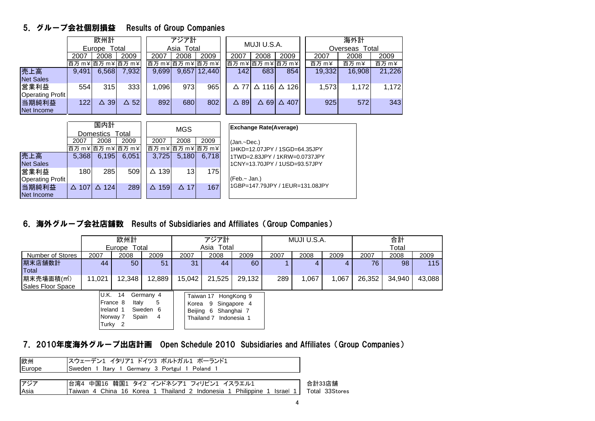#### 5.グループ会社個別損益 Results of Group Companies

|                          |       | 欧州計<br>Europe Total |         | アジア計              |            |              | MUJI U.S.A.    |                   |                 | 海外計    |                |        |  |
|--------------------------|-------|---------------------|---------|-------------------|------------|--------------|----------------|-------------------|-----------------|--------|----------------|--------|--|
|                          |       |                     |         |                   | Asia Total |              |                |                   |                 |        | Overseas Total |        |  |
|                          | 2007  | 2008                | 2009    | 2007              | 2008       | 2009         | 2007           | 2008              | 2009            | 2007   | 2008           | 2009   |  |
|                          |       | 百万 m¥ 百万 m¥ 百万 m¥   |         | 百万 m¥ 百万 m¥ 百万 m¥ |            |              |                | 百万 m¥ 百万 m¥ 百万 m¥ |                 | 百万 m¥  | 百万 m¥          | 百万 m¥  |  |
| 売上高<br><b>Net Sales</b>  | 9,491 | 6,568               | 7,932   | 9,699             |            | 9,657 12,440 | 142            | 683               | 854             | 19,332 | 16,908         | 21,226 |  |
| 営業利益<br>Operating Profit | 554   | 315                 | 333     | .096              | 973        | 965          | $\triangle$ 77 | $\Delta$ 116      | $\Delta$ 126    | 1,573  | 1,172          | 1,172  |  |
| 当期純利益<br>Net Income      | 122   | 39<br>Λ             | 52<br>Δ | 892               | 680        | 802          | 89<br>Δ        | <b>691</b><br>Δ   | $\triangle$ 407 | 925    | 572            | 343    |  |

|                         |                 | 国内計              |                   |                 | <b>MGS</b>     |                   | <b>Exchange Rate(Average)</b>   |
|-------------------------|-----------------|------------------|-------------------|-----------------|----------------|-------------------|---------------------------------|
|                         |                 | <b>Domestics</b> | Total             |                 |                |                   |                                 |
|                         | 2007            | 2008             | 2009              | 2007            | 2008           | 2009              | (Jan.~Dec.)                     |
|                         |                 |                  | 百万 m¥ 百万 m¥ 百万 m¥ |                 |                | 百万 m¥ 百万 m¥ 百万 m¥ | 1HKD=12.07JPY / 1SGD=64.35JPY   |
| 売上高                     | 5.368           | 6,195            | 6.051             | 3.725           | 5.180          | 6,718             | 1TWD=2.83JPY / 1KRW=0.0737JPY   |
| <b>Net Sales</b>        |                 |                  |                   |                 |                |                   | 1CNY=13.70JPY / 1USD=93.57JPY   |
| 営業利益                    | 180             | 285              | 509               | $\Delta$ 139    | 13             | 175               |                                 |
| <b>Operating Profit</b> |                 |                  |                   |                 |                |                   | ⊦(Feb.~ Jan.)                   |
| 当期純利益                   | $\triangle$ 107 | $\triangle$ 124  | 289               | $\triangle$ 159 | $\triangle$ 17 | 167               | 1GBP=147.79JPY / 1EUR=131.08JPY |
| Net Income              |                 |                  |                   |                 |                |                   |                                 |

#### 6.海外グループ会社店舗数 Results of Subsidiaries and Affiliates(Group Companies)

|                         |                                                                                                                  | 欧州計          |        | アジア計                 |                                    |                                          | MUJI U.S.A. |       |       | 合計     |        |        |  |
|-------------------------|------------------------------------------------------------------------------------------------------------------|--------------|--------|----------------------|------------------------------------|------------------------------------------|-------------|-------|-------|--------|--------|--------|--|
|                         |                                                                                                                  | Europe Total |        |                      | Asia Total                         |                                          |             |       |       |        | Total  |        |  |
| Number of Stores        | 2007                                                                                                             | 2008         | 2009   | 2007                 | 2008                               | 2009                                     | 2007        | 2008  | 2009  | 2007   | 2008   | 2009   |  |
| 期末店舗数計                  | 44                                                                                                               | 50           | 51     | 31                   | 44                                 | 60                                       |             | 4     |       | 76     | 98     | 115    |  |
| Total                   |                                                                                                                  |              |        |                      |                                    |                                          |             |       |       |        |        |        |  |
| 期末売場面積(m <sup>2</sup> ) | 11,021                                                                                                           | 12,348       | 12,889 | 15,042               | 21,525                             | 29.132                                   | 289         | 1,067 | 1,067 | 26,352 | 34,940 | 43,088 |  |
| Sales Floor Space       |                                                                                                                  |              |        |                      |                                    |                                          |             |       |       |        |        |        |  |
|                         | U.K.<br>14<br>Germany 4<br>France 8<br>5<br>Italy<br>Ireland 1<br>Sweden 6<br>Spain<br>Norway 7<br>-4<br>Turky 2 |              |        | Korea 9<br>Beijing 6 | Taiwan 17 HongKong 9<br>Thailand 7 | Singapore 4<br>Shanghai 7<br>Indonesia 1 |             |       |       |        |        |        |  |

#### 7.2010年度海外グループ出店計画 Open Schedule 2010 Subsidiaries and Affiliates(Group Companies)

| 欧州     | スウェーデン1 イタリア1 ドイツ3 ポルトガル1 ポーランド1                                       |                |
|--------|------------------------------------------------------------------------|----------------|
| Europe | Sweden 1 Itary 1 Germany 3 Portgul 1 Poland 1                          |                |
|        |                                                                        |                |
| アジア    | 台湾4 中国16 韓国1 タイ2 インドネシア1 フィリピン1 イスラエル1                                 | 合計33店舗         |
| Asia   | Taiwan 4 China 16 Korea 1 Thailand 2 Indonesia 1 Philippine 1 Israel 1 | Total 33Stores |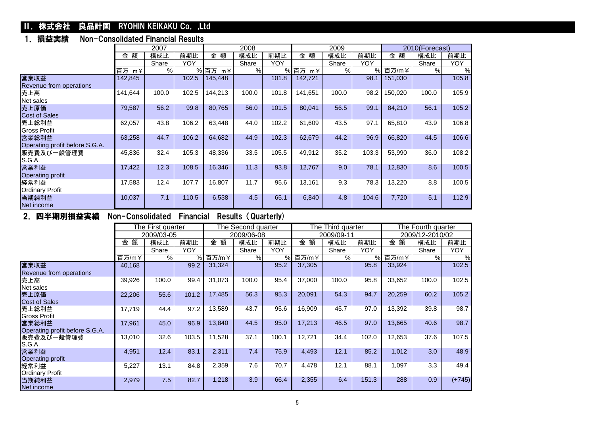#### **II. 株式会社 良品計画 RYOHIN KEIKAKU Co. ,Ltd**

#### 1.損益実績 Non-Consolidated Financial Results

|                                |                    | 2007  |       |                   | 2008  |            |                      | 2009  |            |         | 2010(Forecast) |            |
|--------------------------------|--------------------|-------|-------|-------------------|-------|------------|----------------------|-------|------------|---------|----------------|------------|
|                                | 額<br>金             | 構成比   | 前期比   | 金額                | 構成比   | 前期比        | 金額                   | 構成比   | 前期比        | 額<br>金  | 構成比            | 前期比        |
|                                |                    | Share | YOY   |                   | Share | <b>YOY</b> |                      | Share | <b>YOY</b> |         | Share          | <b>YOY</b> |
|                                | 百万<br>$m \angle 1$ | %     | %     | 百万<br>$m \angle $ | %     |            | % 百万<br>$m \angle 2$ | $\%$  | $\%$       | 百万/m¥   | %              | $\%$       |
| 営業収益                           | 142,845            |       | 102.5 | 145,448           |       | 101.8      | 142,721              |       | 98.1       | 151,030 |                | 105.8      |
| Revenue from operations        |                    |       |       |                   |       |            |                      |       |            |         |                |            |
| 売上高                            | 141,644            | 100.0 | 102.5 | 144,213           | 100.0 | 101.8      | 141,651              | 100.0 | 98.2       | 150,020 | 100.0          | 105.9      |
| Net sales                      |                    |       |       |                   |       |            |                      |       |            |         |                |            |
| 売上原価                           | 79,587             | 56.2  | 99.8  | 80,765            | 56.0  | 101.5      | 80,041               | 56.5  | 99.1       | 84,210  | 56.1           | 105.2      |
| <b>Cost of Sales</b>           |                    |       |       |                   |       |            |                      |       |            |         |                |            |
| 売上総利益                          | 62,057             | 43.8  | 106.2 | 63,448            | 44.0  | 102.2      | 61,609               | 43.5  | 97.1       | 65,810  | 43.9           | 106.8      |
| <b>Gross Profit</b>            |                    |       |       |                   |       |            |                      |       |            |         |                |            |
| 営業総利益                          | 63,258             | 44.7  | 106.2 | 64,682            | 44.9  | 102.3      | 62,679               | 44.2  | 96.9       | 66,820  | 44.5           | 106.6      |
| Operating profit before S.G.A. |                    |       |       |                   |       |            |                      |       |            |         |                |            |
| 販売費及び一般管理費                     | 45,836             | 32.4  | 105.3 | 48,336            | 33.5  | 105.5      | 49,912               | 35.2  | 103.3      | 53,990  | 36.0           | 108.2      |
| S.G.A.                         |                    |       |       |                   |       |            |                      |       |            |         |                |            |
| 営業利益                           | 17,422             | 12.3  | 108.5 | 16,346            | 11.3  | 93.8       | 12,767               | 9.0   | 78.1       | 12,830  | 8.6            | 100.5      |
| Operating profit               |                    |       |       |                   |       |            |                      |       |            |         |                |            |
| 経常利益                           | 17,583             | 12.4  | 107.7 | 16,807            | 11.7  | 95.6       | 13,161               | 9.3   | 78.3       | 13,220  | 8.8            | 100.5      |
| <b>Ordinary Profit</b>         |                    |       |       |                   |       |            |                      |       |            |         |                |            |
| 当期純利益                          | 10,037             | 7.1   | 110.5 | 6,538             | 4.5   | 65.1       | 6,840                | 4.8   | 104.6      | 7,720   | 5.1            | 112.9      |
| Net income                     |                    |       |       |                   |       |            |                      |       |            |         |                |            |

#### 2.四半期別損益実績 Non-Consolidated Financial Results(Quarterly)

|                                         |        | The First quarter |            |        | The Second quarter |       |        | The Third quarter |            |        | The Fourth quarter |            |
|-----------------------------------------|--------|-------------------|------------|--------|--------------------|-------|--------|-------------------|------------|--------|--------------------|------------|
|                                         |        | 2009/03-05        |            |        | 2009/06-08         |       |        | 2009/09-11        |            |        | 2009/12-2010/02    |            |
|                                         | 額<br>金 | 構成比               | 前期比        | 額<br>金 | 構成比                | 前期比   | 額<br>金 | 構成比               | 前期比        | 額<br>金 | 構成比                | 前期比        |
|                                         |        | Share             | <b>YOY</b> |        | Share              | YOY   |        | Share             | <b>YOY</b> |        | Share              | <b>YOY</b> |
|                                         | 百万/m¥  | %                 | %          | 百万/m¥  | %                  | %     | 百万/m¥  | $\%$              | %          | 百万/m¥  | $\%$               | $\%$       |
| 営業収益<br>Revenue from operations         | 40,168 |                   | 99.2       | 31,324 |                    | 95.2  | 37,305 |                   | 95.8       | 33,924 |                    | 102.5      |
| 売上高<br>Net sales                        | 39,926 | 100.0             | 99.4       | 31,073 | 100.0              | 95.4  | 37,000 | 100.0             | 95.8       | 33,652 | 100.0              | 102.5      |
| 売上原価<br>Cost of Sales                   | 22,206 | 55.6              | 101.2      | 17,485 | 56.3               | 95.3  | 20,091 | 54.3              | 94.7       | 20,259 | 60.2               | 105.2      |
| 売上総利益<br>Gross Profit                   | 17,719 | 44.4              | 97.2       | 13,589 | 43.7               | 95.6  | 16,909 | 45.7              | 97.0       | 13,392 | 39.8               | 98.7       |
| 営業総利益<br>Operating profit before S.G.A. | 17,961 | 45.0              | 96.9       | 13,840 | 44.5               | 95.0  | 17,213 | 46.5              | 97.0       | 13,665 | 40.6               | 98.7       |
| 販売費及び一般管理費<br>S.G.A.                    | 13,010 | 32.6              | 103.5      | 11,528 | 37.1               | 100.1 | 12,721 | 34.4              | 102.0      | 12,653 | 37.6               | 107.5      |
| 営業利益<br>Operating profit                | 4,951  | 12.4              | 83.1       | 2,311  | 7.4                | 75.9  | 4,493  | 12.1              | 85.2       | 1,012  | 3.0                | 48.9       |
| 経常利益<br>Ordinary Profit                 | 5,227  | 13.1              | 84.8       | 2,359  | 7.6                | 70.7  | 4,478  | 12.1              | 88.1       | 1,097  | 3.3                | 49.4       |
| 当期純利益<br>Net income                     | 2,979  | 7.5               | 82.7       | 1,218  | 3.9                | 66.4  | 2,355  | 6.4               | 151.3      | 288    | 0.9                | $(+745)$   |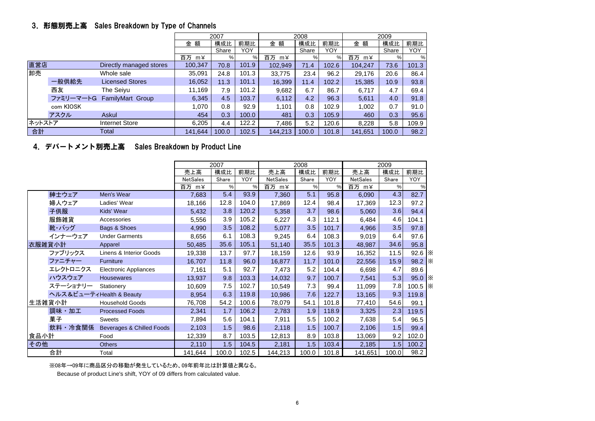#### 3.形態別売上高 Sales Breakdown by Type of Channels

|        |           |                            |         | 2007  |       |         | 2008  |       |         | 2009  |       |
|--------|-----------|----------------------------|---------|-------|-------|---------|-------|-------|---------|-------|-------|
|        |           |                            | 額<br>金  | 構成比   | 前期比   | 金額      | 構成比   | 前期比   | 金額      | 構成比   | 前期比   |
|        |           |                            |         | Share | YOY   |         | Share | YOY   |         | Share | YOY   |
|        |           |                            | 百万 m¥   | %     | %     | 百万 m¥   | %     | %     | 百万 m¥   | %     | %     |
| 直営店    |           | Directly managed stores    | 100,347 | 70.8  | 101.9 | 102,949 | 71.4  | 102.6 | 104.247 | 73.6  | 101.3 |
| 卸売     |           | Whole sale                 | 35,091  | 24.8  | 101.3 | 33,775  | 23.4  | 96.2  | 29,176  | 20.6  | 86.4  |
|        | 一般供給先     | <b>Licensed Stores</b>     | 16,052  | 11.3  | 101.1 | 16,399  | 11.4  | 102.2 | 15,385  | 10.9  | 93.8  |
|        | 西友        | The Seivu                  | 11,169  | 7.9   | 101.2 | 9,682   | 6.7   | 86.7  | 6,717   | 4.7   | 69.4  |
|        |           | ファミリーマートG FamilyMart Group | 6,345   | 4.5   | 103.7 | 6,112   | 4.2   | 96.3  | 5,611   | 4.0   | 91.8  |
|        | com KIOSK |                            | 1,070   | 0.8   | 92.9  | 1,101   | 0.8   | 102.9 | 1,002   | 0.7   | 91.0  |
|        | アスクル      | Askul                      | 454     | 0.3   | 100.0 | 481     | 0.3   | 105.9 | 460     | 0.3   | 95.6  |
| ネットストア |           | <b>Internet Store</b>      | 6,205   | 4.4   | 122.2 | 7.486   | 5.2   | 120.6 | 8.228   | 5.8   | 109.9 |
| 合計     |           | Total                      | 141,644 | 100.0 | 102.5 | 144,213 | 100.0 | 101.8 | 141,651 | 100.0 | 98.2  |

#### 4.デパートメント別売上高 Sales Breakdown by Product Line

|        |                          |                           |                 | 2007  |       |                 | 2008  |       |                 | 2009  |                     |              |
|--------|--------------------------|---------------------------|-----------------|-------|-------|-----------------|-------|-------|-----------------|-------|---------------------|--------------|
|        |                          |                           | 売上高             | 構成比   | 前期比   | 売上高             | 構成比   | 前期比   | 売上高             | 構成比   | 前期比                 |              |
|        |                          |                           | <b>NetSales</b> | Share | YOY   | <b>NetSales</b> | Share | YOY   | <b>NetSales</b> | Share | <b>YOY</b>          |              |
|        |                          |                           | 百万 m¥           | %     | %     | 百万 m¥           | $\%$  | %     | 百万 m¥           | $\%$  | %                   |              |
|        | 紳士ウェア                    | Men's Wear                | 7,683           | 5.4   | 93.9  | 7,360           | 5.1   | 95.8  | 6,090           | 4.3   | 82.7                |              |
|        | 婦人ウェア                    | Ladies' Wear              | 18,166          | 12.8  | 104.0 | 17,869          | 12.4  | 98.4  | 17,369          | 12.3  | 97.2                |              |
|        | 子供服                      | Kids' Wear                | 5,432           | 3.8   | 120.2 | 5,358           | 3.7   | 98.6  | 5,060           | 3.6   | 94.4                |              |
|        | 服飾雑貨                     | Accessories               | 5,556           | 3.9   | 105.2 | 6,227           | 4.3   | 112.1 | 6,484           | 4.6   | 104.1               |              |
|        | 靴・バッグ                    | Bags & Shoes              | 4,990           | 3.5   | 108.2 | 5,077           | 3.5   | 101.7 | 4,966           | 3.5   | 97.8                |              |
|        | インナーウェア                  | <b>Under Garments</b>     | 8,656           | 6.1   | 108.3 | 9,245           | 6.4   | 108.3 | 9,019           | 6.4   | 97.6                |              |
| 衣服雑貨小計 |                          | Apparel                   | 50,485          | 35.6  | 105.1 | 51,140          | 35.5  | 101.3 | 48,987          | 34.6  | 95.8                |              |
|        | ファブリックス                  | Linens & Interior Goods   | 19,338          | 13.7  | 97.7  | 18,159          | 12.6  | 93.9  | 16,352          | 11.5  | $92.6$ $\times$     |              |
|        | ファニチャー                   | Furniture                 | 16,707          | 11.8  | 96.0  | 16,877          | 11.7  | 101.0 | 22,556          | 15.9  | 98.2                | $\mathbb{R}$ |
|        | エレクトロニクス                 | Electronic Appliances     | 7,161           | 5.1   | 92.7  | 7,473           | 5.2   | 104.4 | 6,698           | 4.7   | 89.6                |              |
|        | ハウスウェア                   | <b>Housewares</b>         | 13,937          | 9.8   | 103.3 | 14,032          | 9.7   | 100.7 | 7,541           | 5.3   | 95.0 $\vert \times$ |              |
|        | ステーショナリー                 | Stationery                | 10,609          | 7.5   | 102.7 | 10,549          | 7.3   | 99.4  | 11,099          | 7.8   | 100.5   ※           |              |
|        | ヘルス&ビューティHealth & Beauty |                           | 8,954           | 6.3   | 119.8 | 10,986          | 7.6   | 122.7 | 13,165          | 9.3   | 119.8               |              |
|        | 生活雑貨小計                   | <b>Household Goods</b>    | 76,708          | 54.2  | 100.6 | 78,079          | 54.1  | 101.8 | 77,410          | 54.6  | 99.1                |              |
|        | 調味・加工                    | <b>Processed Foods</b>    | 2,341           | 1.7   | 106.2 | 2,783           | 1.9   | 118.9 | 3,325           | 2.3   | 119.5               |              |
|        | 菓子                       | Sweets                    | 7,894           | 5.6   | 104.1 | 7,911           | 5.5   | 100.2 | 7,638           | 5.4   | 96.5                |              |
|        | 飲料·冷食関係                  | Beverages & Chilled Foods | 2,103           | 1.5   | 98.6  | 2,118           | 1.5   | 100.7 | 2,106           | 1.5   | 99.4                |              |
| 食品小計   |                          | Food                      | 12,339          | 8.7   | 103.5 | 12,813          | 8.9   | 103.8 | 13,069          | 9.2   | 102.0               |              |
| その他    |                          | <b>Others</b>             | 2,110           | 1.5   | 104.5 | 2,181           | 1.5   | 103.4 | 2,185           | 1.5   | 100.2               |              |
|        | 合計                       | Total                     | 141,644         | 100.0 | 102.5 | 144,213         | 100.0 | 101.8 | 141,651         | 100.0 | 98.2                |              |

※08年→09年に商品区分の移動が発生しているため、09年前年比は計算値と異なる。

Because of product Line's shift, YOY of 09 differs from calculated value.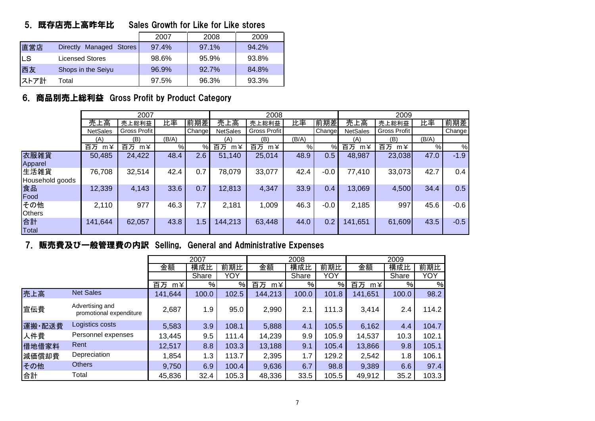#### 5.既存店売上高昨年比 Sales Growth for Like for Like stores

|      |                                   | 2007  | 2008  | 2009  |
|------|-----------------------------------|-------|-------|-------|
| 直営店  | Managed Stores<br><b>Directly</b> | 97.4% | 97.1% | 94.2% |
| ILS. | <b>Licensed Stores</b>            | 98.6% | 95.9% | 93.8% |
| 西友   | Shops in the Seiyu                | 96.9% | 92.7% | 84.8% |
| ストア計 | Total                             | 97.5% | 96.3% | 93.3% |

#### 6.商品別売上総利益 Gross Profit by Product Category

|                         |                    | 2007                |       |        |                   | 2008         |       |               |                   | 2009               |       |        |
|-------------------------|--------------------|---------------------|-------|--------|-------------------|--------------|-------|---------------|-------------------|--------------------|-------|--------|
|                         | 売上高                | 売上総利益               | 比率    | 前期差    | 売上高               | 売上総利益        | 比率    | 前期差           | 売上高               | 売上総利益              | 比率    | 前期差    |
|                         | <b>NetSales</b>    | <b>Gross Profit</b> |       | Change | <b>NetSales</b>   | Gross Profit |       | <b>Change</b> | <b>NetSales</b>   | Gross Profit       |       | Change |
|                         | (A)                | (B)                 | (B/A) |        | (A)               | (B)          | (B/A) |               | (A)               | (B)                | (B/A) |        |
|                         | 百万<br>$m \angle 1$ | 百万<br>$m \angle 1$  | %     | $\%$   | 百万<br>$m \angle $ | 百万 m¥        | %     | %             | 百万<br>$m \angle $ | 百万<br>$m \angle 1$ | $\%$  | %      |
| 衣服雑貨<br>Apparel         | 50,485             | 24,422              | 48.4  | 2.6    | 51,140            | 25,014       | 48.9  | 0.5           | 48,987            | 23,038             | 47.0  | $-1.9$ |
| 生活雑貨<br>Household goods | 76,708             | 32,514              | 42.4  | 0.7    | 78,079            | 33,077       | 42.4  | $-0.0$        | 77,410            | 33,073             | 42.7  | 0.4    |
| 食品<br>Food              | 12,339             | 4,143               | 33.6  | 0.7    | 12,813            | 4,347        | 33.9  | 0.4           | 13,069            | 4,500              | 34.4  | 0.5    |
| その他<br><b>Others</b>    | 2,110              | 977                 | 46.3  | 7.7    | 2,181             | 1,009        | 46.3  | $-0.0$        | 2,185             | 997                | 45.6  | $-0.6$ |
| 合計<br>Total             | 141,644            | 62,057              | 43.8  | 1.5    | 144,213           | 63,448       | 44.0  | 0.2           | 141,651           | 61,609             | 43.5  | $-0.5$ |

#### 7. 販売費及び一般管理費の内訳 Selling, General and Administrative Expenses

|        |                                            |                  | 2007  |       |          | 2008  |       |                   | 2009  |       |
|--------|--------------------------------------------|------------------|-------|-------|----------|-------|-------|-------------------|-------|-------|
|        |                                            | 金額               | 構成比   | 前期比   | 金額       | 構成比   | 前期比   | 金額                | 構成比   | 前期比   |
|        |                                            |                  | Share | YOY   |          | Share | YOY   |                   | Share | YOY   |
|        |                                            | 百万<br>$m\angle $ | %     | %     | 百万<br>m¥ | %     | %     | 百万<br>$m \angle $ | $\%$  | %     |
| 売上高    | <b>Net Sales</b>                           | 141,644          | 100.0 | 102.5 | 144,213  | 100.0 | 101.8 | 141,651           | 100.0 | 98.2  |
| 宣伝費    | Advertising and<br>promotional expenditure | 2,687            | 1.9   | 95.0  | 2,990    | 2.1   | 111.3 | 3,414             | 2.4   | 114.2 |
| 運搬·配送費 | Logistics costs                            | 5,583            | 3.9   | 108.1 | 5,888    | 4.1   | 105.5 | 6,162             | 4.4   | 104.7 |
| 人件費    | Personnel expenses                         | 13,445           | 9.5   | 111.4 | 14,239   | 9.9   | 105.9 | 14,537            | 10.3  | 102.1 |
| 借地借家料  | Rent                                       | 12,517           | 8.8   | 103.3 | 13,188   | 9.1   | 105.4 | 13,866            | 9.8   | 105.1 |
| 減価償却費  | Depreciation                               | 1,854            | 1.3   | 113.7 | 2,395    | 1.7   | 129.2 | 2,542             | 1.8   | 106.1 |
| その他    | <b>Others</b>                              | 9,750            | 6.9   | 100.4 | 9,636    | 6.7   | 98.8  | 9,389             | 6.6   | 97.4  |
| 合計     | Total                                      | 45,836           | 32.4  | 105.3 | 48,336   | 33.5  | 105.5 | 49,912            | 35.2  | 103.3 |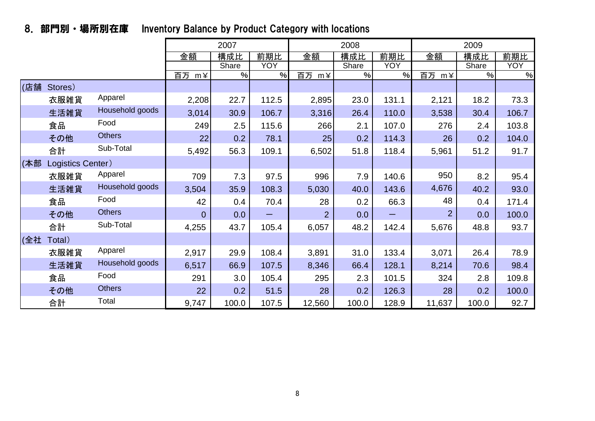|     |                   |                 |                | 2007  |            |                   | 2008  |            |                   | 2009  |       |
|-----|-------------------|-----------------|----------------|-------|------------|-------------------|-------|------------|-------------------|-------|-------|
|     |                   |                 | 金額             | 構成比   | 前期比        | 金額                | 構成比   | 前期比        | 金額                | 構成比   | 前期比   |
|     |                   |                 |                | Share | <b>YOY</b> |                   | Share | <b>YOY</b> |                   | Share | YOY   |
|     |                   |                 | 百万 m¥          | $\%$  | %          | 百万<br>$m \angle $ | %     | %          | 百万<br>$m \angle $ | %     | $\%$  |
| (店舗 | Stores)           |                 |                |       |            |                   |       |            |                   |       |       |
|     | 衣服雑貨              | Apparel         | 2,208          | 22.7  | 112.5      | 2,895             | 23.0  | 131.1      | 2,121             | 18.2  | 73.3  |
|     | 生活雑貨              | Household goods | 3,014          | 30.9  | 106.7      | 3,316             | 26.4  | 110.0      | 3,538             | 30.4  | 106.7 |
|     | 食品                | Food            | 249            | 2.5   | 115.6      | 266               | 2.1   | 107.0      | 276               | 2.4   | 103.8 |
|     | その他               | <b>Others</b>   | 22             | 0.2   | 78.1       | 25                | 0.2   | 114.3      | 26                | 0.2   | 104.0 |
|     | 合計                | Sub-Total       | 5,492          | 56.3  | 109.1      | 6,502             | 51.8  | 118.4      | 5,961             | 51.2  | 91.7  |
| (本部 | Logistics Center) |                 |                |       |            |                   |       |            |                   |       |       |
|     | 衣服雑貨              | Apparel         | 709            | 7.3   | 97.5       | 996               | 7.9   | 140.6      | 950               | 8.2   | 95.4  |
|     | 生活雑貨              | Household goods | 3,504          | 35.9  | 108.3      | 5,030             | 40.0  | 143.6      | 4,676             | 40.2  | 93.0  |
|     | 食品                | Food            | 42             | 0.4   | 70.4       | 28                | 0.2   | 66.3       | 48                | 0.4   | 171.4 |
|     | その他               | <b>Others</b>   | $\overline{0}$ | 0.0   |            | $\overline{2}$    | 0.0   |            | $\overline{2}$    | 0.0   | 100.0 |
|     | 合計                | Sub-Total       | 4,255          | 43.7  | 105.4      | 6,057             | 48.2  | 142.4      | 5,676             | 48.8  | 93.7  |
| (全社 | Total)            |                 |                |       |            |                   |       |            |                   |       |       |
|     | 衣服雑貨              | Apparel         | 2,917          | 29.9  | 108.4      | 3,891             | 31.0  | 133.4      | 3,071             | 26.4  | 78.9  |
|     | 生活雑貨              | Household goods | 6,517          | 66.9  | 107.5      | 8,346             | 66.4  | 128.1      | 8,214             | 70.6  | 98.4  |
|     | 食品                | Food            | 291            | 3.0   | 105.4      | 295               | 2.3   | 101.5      | 324               | 2.8   | 109.8 |
|     | その他               | <b>Others</b>   | 22             | 0.2   | 51.5       | 28                | 0.2   | 126.3      | 28                | 0.2   | 100.0 |
|     | 合計                | Total           | 9,747          | 100.0 | 107.5      | 12,560            | 100.0 | 128.9      | 11,637            | 100.0 | 92.7  |

# 8.部門別・場所別在庫 Inventory Balance by Product Category with locations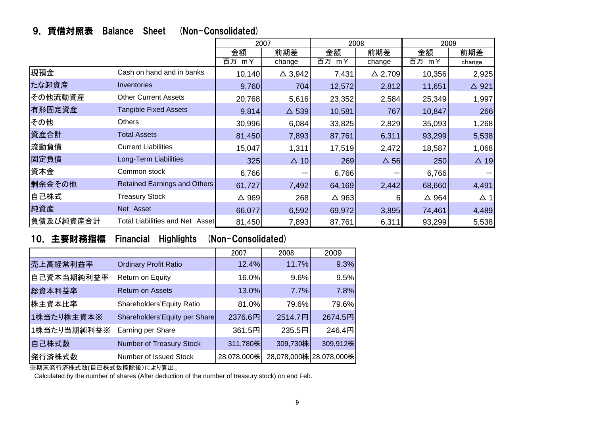|  |  | 9. 貸借対照表 Balance Sheet (Non-Consolidated) |
|--|--|-------------------------------------------|
|  |  |                                           |

|           |                                        | 2007            |                   | 2008            |                   | 2009            |                 |  |
|-----------|----------------------------------------|-----------------|-------------------|-----------------|-------------------|-----------------|-----------------|--|
|           |                                        | 金額              | 前期差               | 金額              | 前期差               | 金額              | 前期差             |  |
|           |                                        | 百万 m¥           | change            | 百万 m¥           | change            | 百万 m¥           | change          |  |
| 現預金       | Cash on hand and in banks              | 10,140          | $\triangle$ 3,942 | 7,431           | $\triangle$ 2,709 | 10,356          | 2,925           |  |
| たな卸資産     | Inventories                            | 9,760           | 704               | 12,572          | 2,812             | 11,651          | $\triangle$ 921 |  |
| その他流動資産   | <b>Other Current Assets</b>            | 20,768          | 5,616             | 23,352          | 2,584             | 25,349          | 1,997           |  |
| 有形固定資産    | <b>Tangible Fixed Assets</b>           | 9,814           | $\triangle$ 539   | 10,581          | 767               | 10,847          | 266             |  |
| その他       | <b>Others</b>                          | 30,996          | 6,084             | 33,825          | 2,829             | 35,093          | 1,268           |  |
| 資産合計      | <b>Total Assets</b>                    | 81,450          | 7,893             | 87,761          | 6,311             | 93,299          | 5,538           |  |
| 流動負債      | <b>Current Liabilities</b>             | 15,047          | 1,311             | 17,519          | 2,472             | 18,587          | 1,068           |  |
| 固定負債      | Long-Term Liabilities                  | 325             | $\triangle$ 10    | 269             | $\Delta$ 56       | 250             | $\triangle$ 19  |  |
| 資本金       | Common stock                           | 6,766           |                   | 6,766           |                   | 6,766           |                 |  |
| 剰余金その他    | <b>Retained Earnings and Others</b>    | 61,727          | 7,492             | 64,169          | 2,442             | 68,660          | 4,491           |  |
| 自己株式      | <b>Treasury Stock</b>                  | $\triangle$ 969 | 268               | $\triangle$ 963 | ิค                | $\triangle$ 964 | $\Delta$ 1      |  |
| 純資産       | Net Asset                              | 66,077          | 6,592             | 69,972          | 3,895             | 74,461          | 4,489           |  |
| 負債及び純資産合計 | <b>Total Liabilities and Net Asset</b> | 81,450          | 7,893             | 87,761          | 6,311             | 93,299          | 5,538           |  |

# 10.主要財務指標 Financial Highlights (Non-Consolidated)

|             |                               | 2007        | 2008     | 2009                    |
|-------------|-------------------------------|-------------|----------|-------------------------|
| 売上高経常利益率    | <b>Ordinary Profit Ratio</b>  | 12.4%       | 11.7%    | 9.3%                    |
| 自己資本当期純利益率  | Return on Equity              | 16.0%       | 9.6%     | 9.5%                    |
| 総資本利益率      | <b>Return on Assets</b>       | 13.0%       | 7.7%     | 7.8%                    |
| 株主資本比率      | Shareholders'Equity Ratio     | 81.0%       | 79.6%    | 79.6%                   |
| 1株当たり株主資本※  | Shareholders'Equity per Share | 2376.6円     | 2514.7円  | 2674.5円                 |
| 1株当たり当期純利益※ | Earning per Share             | 361.5円      | 235.5円   | 246.4円                  |
| 自己株式数       | Number of Treasury Stock      | 311,780株    | 309,730株 | 309,912株                |
| 発行済株式数      | Number of Issued Stock        | 28,078,000株 |          | 28,078,000株 28,078,000株 |

※期末発行済株式数(自己株式数控除後)により算出。

Calculated by the number of shares (After deduction of the number of treasury stock) on end Feb.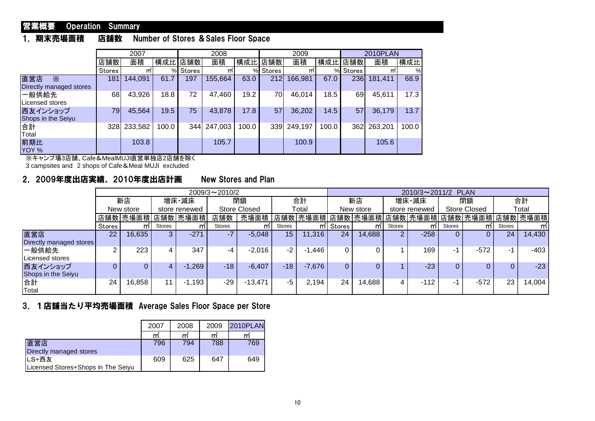#### 営業概要 Operation Summary

#### 1.期末売場面積 店舗数 Number of Stores &Sales Floor Space

|                                            |         | 2007    |       |         | 2008    |       |          | 2009    |       |               | 2010PLAN |               |
|--------------------------------------------|---------|---------|-------|---------|---------|-------|----------|---------|-------|---------------|----------|---------------|
|                                            | 店舗数     | 面積      |       | 構成比 店舗数 | 面積      | 構成比   | 店舗数      | 面積      |       | 構成比 店舗数       | 面積       | 構成比           |
|                                            | Stores' | mī      | %     | Stores  | mī      |       | % Stores | mī      | $\%$  | <b>Stores</b> | m        | $\frac{0}{0}$ |
| 直営店<br>$\times$<br>Directly managed stores | 181     | 144,091 | 61.7  | 197     | 155,664 | 63.0  | 212      | 166,981 | 67.0  | 236           | 181,411  | 68.9          |
| 一般供給先<br>Licensed stores                   | 68      | 43,926  | 18.8  | 72      | 47,460  | 19.2  | 70       | 46,014  | 18.5  | 69            | 45,611   | 17.3          |
| 西友インショップ<br>Shops in the Seiyu             | 79      | 45,564  | 19.5  | 75      | 43,878  | 17.8  | 57       | 36,202  | 14.5  | 57            | 36,179   | 13.7          |
| 合計<br>Total                                | 328     | 233,582 | 100.0 | 344     | 247,003 | 100.0 | 339      | 249,197 | 100.0 | 362           | 263,201  | 100.0         |
| 前期比<br>YOY %                               |         | 103.8   |       |         | 105.7   |       |          | 100.9   |       |               | 105.6    |               |

※キャンプ場3店舗、Cafe&MealMUJI直営単独店2店舗を除く

3 campsites and 2 shops of Cafe&Meal MUJI excluded

#### 2.2009年度出店実績、2010年度出店計画 New Stores and Plan

|                                |                            |          |              |          | $2009/3 \sim 2010/2$ |           |                 |          | 2010/3~2011/2 PLAN |                                     |                     |        |        |        |               |        |
|--------------------------------|----------------------------|----------|--------------|----------|----------------------|-----------|-----------------|----------|--------------------|-------------------------------------|---------------------|--------|--------|--------|---------------|--------|
|                                |                            | 新店       |              | 増床・減床    | 閉鎖<br>合計             |           | 新店              |          | 増床·減床              |                                     | 閉鎖                  |        | 合計     |        |               |        |
|                                | New store<br>store renewed |          | Store Closed |          | Total                |           | New store       |          | store renewed      |                                     | <b>Store Closed</b> |        | Total  |        |               |        |
|                                |                            | 店舗数 売場面積 |              | 店舗数 売場面積 | 店舗数                  | 売場面積      |                 | 店舗数 売場面積 |                    | 店舗数 売場面積 店舗数 売場面積 店舗数 売場面積 店舗数 売場面積 |                     |        |        |        |               |        |
|                                | Stores                     | m        | Stores       | m        | <b>Stores</b>        | m         | Stores          |          | m Stores           | mī                                  | Stores              | mī     | Stores | mī     | <b>Stores</b> | m      |
| 直営店<br>Directly managed stores | 22                         | 16,635   |              | $-271$   |                      | $-5,048$  | 15 <sup>2</sup> | 11,316   | 24                 | 14,688                              |                     | $-258$ |        |        | 24            | 14,430 |
| 一般供給先<br>Licensed stores       |                            | 223      | 4            | 347      | -4                   | $-2,016$  | $-2$            | $-1,446$ |                    | 0                                   |                     | 169    | -1     | $-572$ | - 1           | -403   |
| 西友インショップ<br>Shops in the Seiyu |                            |          |              | $-1,269$ | $-18$                | $-6,407$  | $-18$           | $-7,676$ |                    | 0                                   |                     | $-23$  |        |        |               | $-23$  |
| 合計<br>Total                    | 24                         | 16,858   | 11           | $-1,193$ | $-29$                | $-13,471$ | -5              | 2,194    | 24                 | 14,688                              | 4                   | $-112$ | -1     | $-572$ | 23            | 14,004 |

#### 3.1店舗当たり平均売場面積 Average Sales Floor Space per Store

|                                    | 2007 | 2008           | 2009 | <b>2010PLAN</b> |
|------------------------------------|------|----------------|------|-----------------|
|                                    | m    | $\mathsf{m}^2$ | m    | m               |
| 直営店                                | 796  | 794            | 788  | 769             |
| Directly managed stores            |      |                |      |                 |
| LS+西友                              | 609  | 625            | 647  | 649             |
| Licensed Stores+Shops in The Seivu |      |                |      |                 |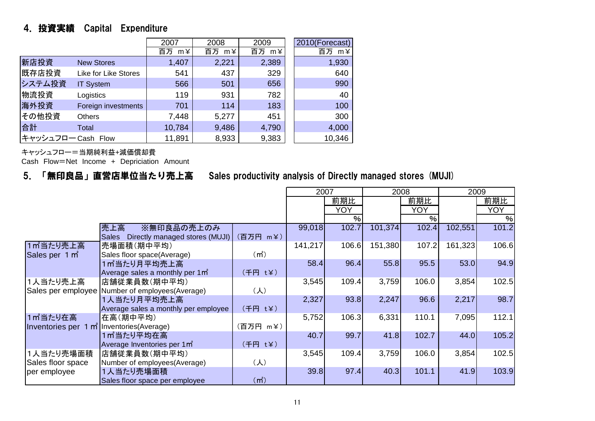# 4.投資実績 Capital Expenditure

|                    |                             | 2007               | 2008  | 2009  | 2010(Forecast) |
|--------------------|-----------------------------|--------------------|-------|-------|----------------|
|                    |                             | $m \angle 1$<br>百万 | 百万 m¥ | 百万 m¥ | 百万 m¥          |
| 新店投資               | <b>New Stores</b>           | 1,407              | 2,221 | 2,389 | 1,930          |
| 既存店投資              | <b>Like for Like Stores</b> | 541                | 437   | 329   | 640            |
| システム投資             | <b>IT System</b>            | 566                | 501   | 656   | 990            |
| 物流投資               | Logistics                   | 119                | 931   | 782   | 40             |
| 海外投資               | Foreign investments         | 701                | 114   | 183   | 100            |
| その他投資              | <b>Others</b>               | 7,448              | 5,277 | 451   | 300            |
| 台計                 | Total                       | 10,784             | 9,486 | 4,790 | 4,000          |
| キャッシュフロー Cash Flow |                             | 11,891             | 8,933 | 9,383 | 10,346         |

キャッシュフロー=当期純利益+減価償却費

Cash Flow=Net Income <sup>+</sup> Depriciation Amount

## 5.「無印良品」直営店単位当たり売上高 Sales productivity analysis of Directly managed stores (MUJI)

|                                           |                                                  |                   | 2007    |       |         | 2008  | 2009    |       |
|-------------------------------------------|--------------------------------------------------|-------------------|---------|-------|---------|-------|---------|-------|
|                                           |                                                  |                   |         | 前期比   |         | 前期比   |         | 前期比   |
|                                           |                                                  |                   |         | YOY   |         | YOY   |         | YOY   |
|                                           |                                                  |                   |         | %     |         | $\%$  |         | %     |
|                                           | 売上高<br>※無印良品の売上のみ                                |                   | 99,018  | 102.7 | 101,374 | 102.4 | 102,551 | 101.2 |
|                                           | Directly managed stores (MUJI)<br><b>Sales</b>   | (百万円 m¥)          |         |       |         |       |         |       |
| 1m当たり売上高                                  | 売場面積(期中平均)                                       |                   | 141,217 | 106.6 | 151,380 | 107.2 | 161,323 | 106.6 |
| Sales per 1 m <sup>2</sup>                | Sales floor space(Average)                       | (m <sup>2</sup> ) |         |       |         |       |         |       |
|                                           | 1㎡当たり月平均売上高                                      |                   | 58.4    | 96.4  | 55.8    | 95.5  | 53.0    | 94.9  |
|                                           | Average sales a monthly per 1 m <sup>2</sup>     | (千円 t¥)           |         |       |         |       |         |       |
| 1人当たり売上高                                  | 店舗従業員数(期中平均)                                     |                   | 3,545   | 109.4 | 3,759   | 106.0 | 3,854   | 102.5 |
|                                           | Sales per employee Number of employees (Average) | $(\lambda)$       |         |       |         |       |         |       |
|                                           | 1人当たり月平均売上高                                      |                   | 2,327   | 93.8  | 2,247   | 96.6  | 2,217   | 98.7  |
|                                           | Average sales a monthly per employee             | (千円 t¥)           |         |       |         |       |         |       |
| 1m当たり在高                                   | 在高(期中平均)                                         |                   | 5,752   | 106.3 | 6,331   | 110.1 | 7,095   | 112.1 |
| Inventories per 1 m Inventories (Average) |                                                  | (百万円 m¥)          |         |       |         |       |         |       |
|                                           | 1m当たり平均在高                                        |                   | 40.7    | 99.7  | 41.8    | 102.7 | 44.0    | 105.2 |
|                                           | Average Inventories per 1m <sup>*</sup>          | (千円 t¥)           |         |       |         |       |         |       |
| 1人当たり売場面積                                 | 店舗従業員数(期中平均)                                     |                   | 3,545   | 109.4 | 3,759   | 106.0 | 3,854   | 102.5 |
| Sales floor space                         | Number of employees(Average)                     | $(\lambda)$       |         |       |         |       |         |       |
| per employee                              | 1人当たり売場面積                                        |                   | 39.8    | 97.4  | 40.3    | 101.1 | 41.9    | 103.9 |
|                                           | Sales floor space per employee                   | (m <sup>2</sup> ) |         |       |         |       |         |       |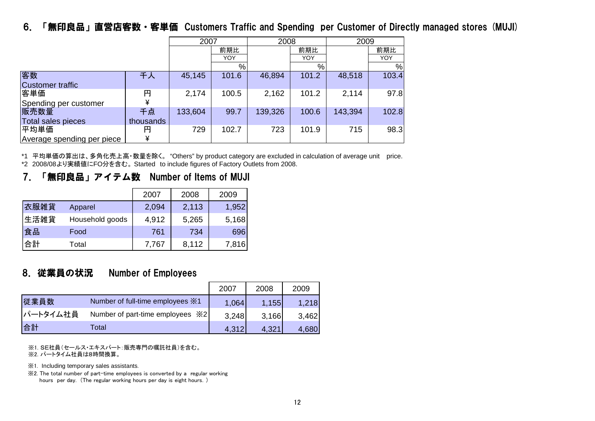# 6.「無印良品」直営店客数・客単価 Customers Traffic and Spending per Customer of Directly managed stores (MUJI)

|                            |           | 2007<br>2008 |       |         |       | 2009    |       |
|----------------------------|-----------|--------------|-------|---------|-------|---------|-------|
|                            |           |              | 前期比   |         | 前期比   |         | 前期比   |
|                            |           |              | YOY   |         | YOY   |         | YOY   |
|                            |           |              | %     |         | %     |         | %     |
| 客数                         | 千人        | 45,145       | 101.6 | 46,894  | 101.2 | 48,518  | 103.4 |
| Customer traffic           |           |              |       |         |       |         |       |
| 客単価                        | 円         | 2,174        | 100.5 | 2,162   | 101.2 | 2,114   | 97.8  |
| Spending per customer      | ¥         |              |       |         |       |         |       |
| 販売数量                       | 千点        | 133,604      | 99.7  | 139,326 | 100.6 | 143,394 | 102.8 |
| Total sales pieces         | thousands |              |       |         |       |         |       |
| 平均単価                       | 円         | 729          | 102.7 | 723     | 101.9 | 715     | 98.3  |
| Average spending per piece | ¥         |              |       |         |       |         |       |

\*1 平均単価の算出は、多角化売上高·数量を除く。 "Others" by product category are excluded in calculation of average unit price. \*2 2008/08より実績値にFO分を含む。 Started to include figures of Factory Outlets from 2008.

#### 7.「無印良品」アイテム数 Number of Items of MUJI

|      |                 | 2007  | 2008  | 2009  |
|------|-----------------|-------|-------|-------|
| 衣服雑貨 | Apparel         | 2,094 | 2,113 | 1,952 |
| 生活雑貨 | Household goods | 4,912 | 5,265 | 5,168 |
| 食品   | Food            | 761   | 734   | 696   |
| 合計   | Total           | 7,767 | 8,112 | 7,816 |

#### 8.従業員の状況 Number of Employees

|          |                                          | 2007  | 2008  | 2009  |
|----------|------------------------------------------|-------|-------|-------|
| 従業員数     | Number of full-time employees X1         | 1,064 | 1,155 | 1,218 |
| パートタイム社員 | Number of part-time employees $\angle 2$ | 3,248 | 3,166 | 3,462 |
| 合計       | ⊺otal                                    | 4,312 | 4.321 | 4,680 |

※1. SE社員(セールス・エキスパート:販売専門の嘱託社員)を含む。 ※2. パートタイム社員は8時間換算。

※1. Including temporary sales assistants.

※2. The total number of part-time employees is converted by a regular working hours per day. (The regular working hours per day is eight hours.)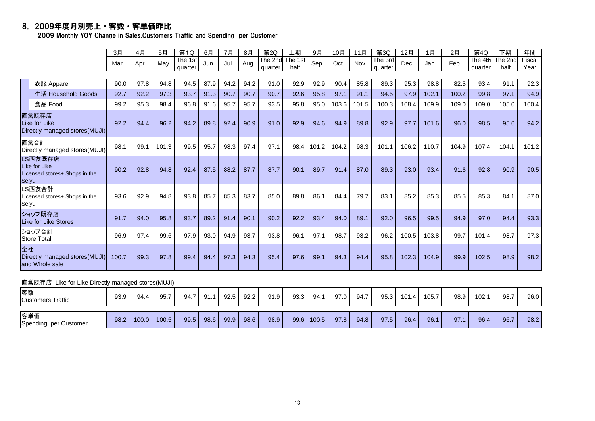#### 8.2009年度月別売上・客数・客単価昨比

2009 Monthly YOY Change in Sales,Customers Traffic and Spending per Customer

|       |                                                           | 3月    | 4月   | 5月    | 第1Q     | 6月   | 7月   | 8月   | 第2Q     | 上期      | 9月    | 10月   | 11月   | 第3Q     | 12月   | 1月    | 2月    | 第4Q     | 下期                      | 年間     |
|-------|-----------------------------------------------------------|-------|------|-------|---------|------|------|------|---------|---------|-------|-------|-------|---------|-------|-------|-------|---------|-------------------------|--------|
|       |                                                           | Mar.  | Apr. | May   | The 1st | Jun. | Jul. | Aug. | The 2nd | The 1st | Sep.  | Oct.  | Nov.  | The 3rd | Dec.  | Jan.  | Feb.  |         | The 4th <i>The 2n</i> c | Fiscal |
|       |                                                           |       |      |       | quarter |      |      |      | quarter | half    |       |       |       | quarter |       |       |       | quarter | half                    | Year   |
|       |                                                           |       |      |       |         |      |      |      |         |         |       |       |       |         |       |       |       |         |                         |        |
|       | 衣服 Apparel                                                | 90.0  | 97.8 | 94.8  | 94.5    | 87.9 | 94.2 | 94.2 | 91.0    | 92.9    | 92.9  | 90.4  | 85.8  | 89.3    | 95.3  | 98.8  | 82.5  | 93.4    | 91.1                    | 92.3   |
|       | 生活 Household Goods                                        | 92.7  | 92.2 | 97.3  | 93.7    | 91.3 | 90.7 | 90.7 | 90.7    | 92.6    | 95.8  | 97.1  | 91.1  | 94.5    | 97.9  | 102.1 | 100.2 | 99.8    | 97.1                    | 94.9   |
|       | 食品 Food                                                   | 99.2  | 95.3 | 98.4  | 96.8    | 91.6 | 95.7 | 95.7 | 93.5    | 95.8    | 95.0  | 103.6 | 101.5 | 100.3   | 108.4 | 109.9 | 109.0 | 109.0   | 105.0                   | 100.4  |
|       | 直営既存店<br>Like for Like<br>Directly managed stores(MUJI)   | 92.2  | 94.4 | 96.2  | 94.2    | 89.8 | 92.4 | 90.9 | 91.0    | 92.9    | 94.6  | 94.9  | 89.8  | 92.9    | 97.7  | 101.6 | 96.0  | 98.5    | 95.6                    | 94.2   |
|       | 直営合計<br>Directly managed stores(MUJI)                     | 98.1  | 99.1 | 101.3 | 99.5    | 95.7 | 98.3 | 97.4 | 97.1    | 98.4    | 101.2 | 104.2 | 98.3  | 101.1   | 106.2 | 110.7 | 104.9 | 107.4   | 104.1                   | 101.2  |
| Seivu | LS西友既存店<br>Like for Like<br>Licensed stores+ Shops in the | 90.2  | 92.8 | 94.8  | 92.4    | 87.5 | 88.2 | 87.7 | 87.7    | 90.1    | 89.7  | 91.4  | 87.0  | 89.3    | 93.0  | 93.4  | 91.6  | 92.8    | 90.9                    | 90.5   |
| Seiyu | LS西友合計<br>Licensed stores+ Shops in the                   | 93.6  | 92.9 | 94.8  | 93.8    | 85.7 | 85.3 | 83.7 | 85.0    | 89.8    | 86.1  | 84.4  | 79.7  | 83.1    | 85.2  | 85.3  | 85.5  | 85.3    | 84.1                    | 87.0   |
|       | ショップ既存店<br><b>Like for Like Stores</b>                    | 91.7  | 94.0 | 95.8  | 93.7    | 89.2 | 91.4 | 90.1 | 90.2    | 92.2    | 93.4  | 94.0  | 89.1  | 92.0    | 96.5  | 99.5  | 94.9  | 97.0    | 94.4                    | 93.3   |
|       | ショップ合計<br><b>Store Total</b>                              | 96.9  | 97.4 | 99.6  | 97.9    | 93.0 | 94.9 | 93.7 | 93.8    | 96.1    | 97.1  | 98.7  | 93.2  | 96.2    | 100.5 | 103.8 | 99.7  | 101.4   | 98.7                    | 97.3   |
| 全社    | Directly managed stores (MUJI)<br>and Whole sale          | 100.7 | 99.3 | 97.8  | 99.4    | 94.4 | 97.3 | 94.3 | 95.4    | 97.6    | 99.1  | 94.3  | 94.4  | 95.8    | 102.3 | 104.9 | 99.9  | 102.5   | 98.9                    | 98.2   |

#### 直営既存店 Like for Like Directly managed stores(MUJI)

| 客数<br>Customers Traffic      | 93.9 | 94.4  | 95.7  | 94.7 | 91.  | 92.5 | 92.2 | 91.9 | 93.3 | 94.1  | 97.0 | 94.7 | 95.3 | 101.4 | 105.7 | 98.9 | 102.1 | 98.7 | 96.0 |
|------------------------------|------|-------|-------|------|------|------|------|------|------|-------|------|------|------|-------|-------|------|-------|------|------|
| 客単価<br>Spending per Customer | 98.2 | 100.0 | 100.5 | 99.5 | 98.6 | 99.9 | 98.6 | 98.9 | 99.6 | 100.5 | 97.8 | 94.8 | 97.5 | 96.4  | 96.1  | 97.  | 96.4  | 96.7 | 98.2 |